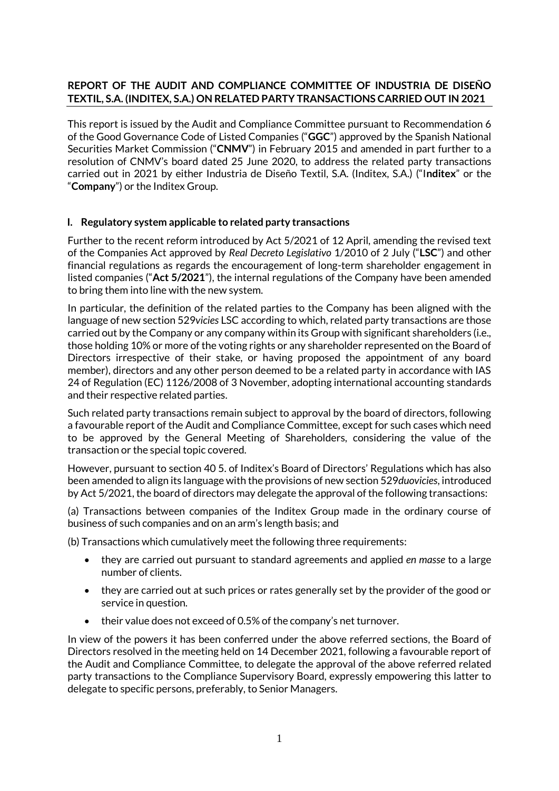# **REPORT OF THE AUDIT AND COMPLIANCE COMMITTEE OF INDUSTRIA DE DISEÑO TEXTIL, S.A. (INDITEX, S.A.) ON RELATED PARTY TRANSACTIONS CARRIED OUT IN 2021**

This report is issued by the Audit and Compliance Committee pursuant to Recommendation 6 of the Good Governance Code of Listed Companies ("**GGC**") approved by the Spanish National Securities Market Commission ("**CNMV**") in February 2015 and amended in part further to a resolution of CNMV's board dated 25 June 2020, to address the related party transactions carried out in 2021 by either Industria de Diseño Textil, S.A. (Inditex, S.A.) ("I**nditex**" or the "**Company**") or the Inditex Group.

## **I. Regulatory system applicable to related party transactions**

Further to the recent reform introduced by Act 5/2021 of 12 April, amending the revised text of the Companies Act approved by *Real Decreto Legislativo* 1/2010 of 2 July ("**LSC**") and other financial regulations as regards the encouragement of long-term shareholder engagement in listed companies ("**Act 5/2021**"), the internal regulations of the Company have been amended to bring them into line with the new system.

In particular, the definition of the related parties to the Company has been aligned with the language of new section 529*vicies* LSC according to which, related party transactions are those carried out by the Company or any company within its Group with significant shareholders (i.e., those holding 10% or more of the voting rights or any shareholder represented on the Board of Directors irrespective of their stake, or having proposed the appointment of any board member), directors and any other person deemed to be a related party in accordance with IAS 24 of Regulation (EC) 1126/2008 of 3 November, adopting international accounting standards and their respective related parties.

Such related party transactions remain subject to approval by the board of directors, following a favourable report of the Audit and Compliance Committee, except for such cases which need to be approved by the General Meeting of Shareholders, considering the value of the transaction or the special topic covered.

However, pursuant to section 40 5. of Inditex's Board of Directors' Regulations which has also been amended to align its language with the provisions of new section 529*duovicies*, introduced by Act 5/2021, the board of directors may delegate the approval of the following transactions:

(a) Transactions between companies of the Inditex Group made in the ordinary course of business of such companies and on an arm's length basis; and

(b) Transactions which cumulatively meet the following three requirements:

- they are carried out pursuant to standard agreements and applied *en masse* to a large number of clients.
- they are carried out at such prices or rates generally set by the provider of the good or service in question.
- their value does not exceed of 0.5% of the company's net turnover.

In view of the powers it has been conferred under the above referred sections, the Board of Directors resolved in the meeting held on 14 December 2021, following a favourable report of the Audit and Compliance Committee, to delegate the approval of the above referred related party transactions to the Compliance Supervisory Board, expressly empowering this latter to delegate to specific persons, preferably, to Senior Managers.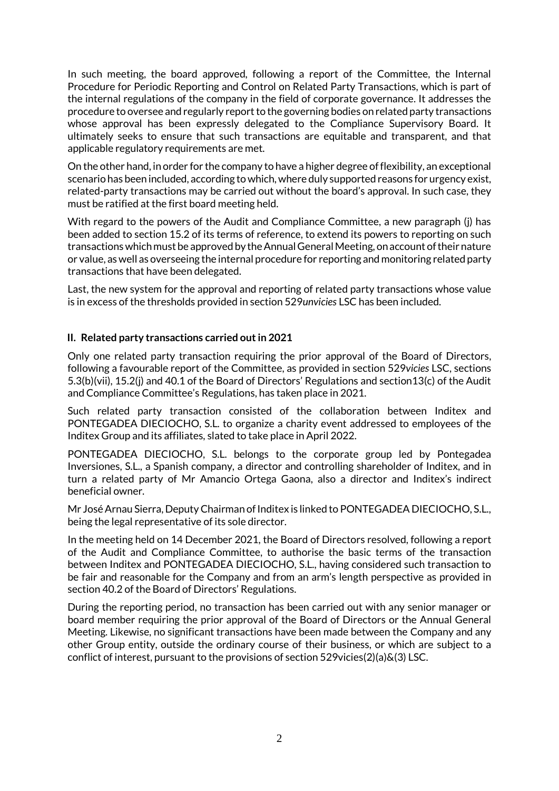In such meeting, the board approved, following a report of the Committee, the Internal Procedure for Periodic Reporting and Control on Related Party Transactions, which is part of the internal regulations of the company in the field of corporate governance. It addresses the procedure to oversee and regularly report to the governing bodies on related party transactions whose approval has been expressly delegated to the Compliance Supervisory Board. It ultimately seeks to ensure that such transactions are equitable and transparent, and that applicable regulatory requirements are met.

On the other hand, in order for the company to have a higher degree of flexibility, an exceptional scenario has been included, according to which, where duly supported reasons for urgency exist, related-party transactions may be carried out without the board's approval. In such case, they must be ratified at the first board meeting held.

With regard to the powers of the Audit and Compliance Committee, a new paragraph (j) has been added to section 15.2 of its terms of reference, to extend its powers to reporting on such transactions which must be approved by the Annual General Meeting, on account of their nature or value, as well as overseeing the internal procedure for reporting and monitoring related party transactions that have been delegated.

Last, the new system for the approval and reporting of related party transactions whose value is in excess of the thresholds provided in section 529*unvicies* LSC has been included.

## **II. Related party transactions carried out in 2021**

Only one related party transaction requiring the prior approval of the Board of Directors, following a favourable report of the Committee, as provided in section 529*vicies* LSC, sections 5.3(b)(vii), 15.2(j) and 40.1 of the Board of Directors' Regulations and section13(c) of the Audit and Compliance Committee's Regulations, has taken place in 2021.

Such related party transaction consisted of the collaboration between Inditex and PONTEGADEA DIECIOCHO, S.L. to organize a charity event addressed to employees of the Inditex Group and its affiliates, slated to take place in April 2022.

PONTEGADEA DIECIOCHO, S.L. belongs to the corporate group led by Pontegadea Inversiones, S.L., a Spanish company, a director and controlling shareholder of Inditex, and in turn a related party of Mr Amancio Ortega Gaona, also a director and Inditex's indirect beneficial owner.

Mr José Arnau Sierra, Deputy Chairman of Inditex is linked to PONTEGADEA DIECIOCHO, S.L., being the legal representative of its sole director.

In the meeting held on 14 December 2021, the Board of Directors resolved, following a report of the Audit and Compliance Committee, to authorise the basic terms of the transaction between Inditex and PONTEGADEA DIECIOCHO, S.L., having considered such transaction to be fair and reasonable for the Company and from an arm's length perspective as provided in section 40.2 of the Board of Directors' Regulations.

During the reporting period, no transaction has been carried out with any senior manager or board member requiring the prior approval of the Board of Directors or the Annual General Meeting. Likewise, no significant transactions have been made between the Company and any other Group entity, outside the ordinary course of their business, or which are subject to a conflict of interest, pursuant to the provisions of section 529vicies(2)(a)&(3) LSC.